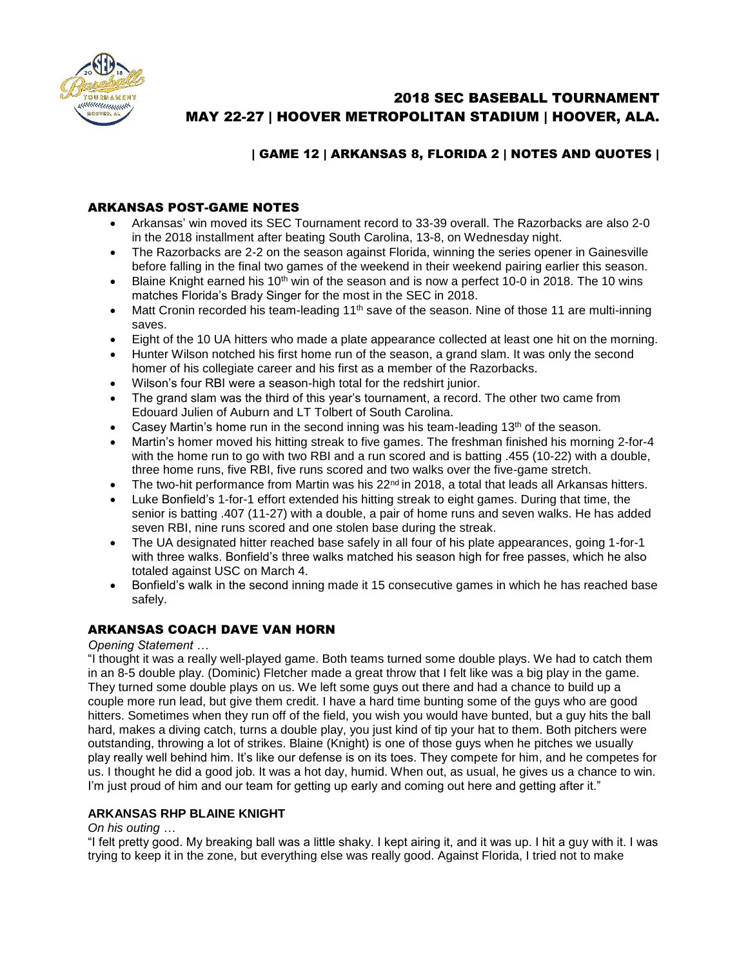

# 2018 SEC BASEBALL TOURNAMENT MAY 22-27 | HOOVER METROPOLITAN STADIUM | HOOVER, ALA.

# | GAME 12 | ARKANSAS 8, FLORIDA 2 | NOTES AND QUOTES |

# ARKANSAS POST-GAME NOTES

- Arkansas' win moved its SEC Tournament record to 33-39 overall. The Razorbacks are also 2-0 in the 2018 installment after beating South Carolina, 13-8, on Wednesday night.
- The Razorbacks are 2-2 on the season against Florida, winning the series opener in Gainesville before falling in the final two games of the weekend in their weekend pairing earlier this season.
- **Blaine Knight earned his 10<sup>th</sup> win of the season and is now a perfect 10-0 in 2018. The 10 wins** matches Florida's Brady Singer for the most in the SEC in 2018.
- Matt Cronin recorded his team-leading 11<sup>th</sup> save of the season. Nine of those 11 are multi-inning saves.
- Eight of the 10 UA hitters who made a plate appearance collected at least one hit on the morning.
- Hunter Wilson notched his first home run of the season, a grand slam. It was only the second homer of his collegiate career and his first as a member of the Razorbacks.
- Wilson's four RBI were a season-high total for the redshirt junior.
- The grand slam was the third of this year's tournament, a record. The other two came from Edouard Julien of Auburn and LT Tolbert of South Carolina.
- Casey Martin's home run in the second inning was his team-leading  $13<sup>th</sup>$  of the season.
- Martin's homer moved his hitting streak to five games. The freshman finished his morning 2-for-4 with the home run to go with two RBI and a run scored and is batting .455 (10-22) with a double, three home runs, five RBI, five runs scored and two walks over the five-game stretch.
- $\bullet$  The two-hit performance from Martin was his 22<sup>nd</sup> in 2018, a total that leads all Arkansas hitters.
- Luke Bonfield's 1-for-1 effort extended his hitting streak to eight games. During that time, the senior is batting .407 (11-27) with a double, a pair of home runs and seven walks. He has added seven RBI, nine runs scored and one stolen base during the streak.
- The UA designated hitter reached base safely in all four of his plate appearances, going 1-for-1 with three walks. Bonfield's three walks matched his season high for free passes, which he also totaled against USC on March 4.
- Bonfield's walk in the second inning made it 15 consecutive games in which he has reached base safely.

# ARKANSAS COACH DAVE VAN HORN

### *Opening Statement …*

"I thought it was a really well-played game. Both teams turned some double plays. We had to catch them in an 8-5 double play. (Dominic) Fletcher made a great throw that I felt like was a big play in the game. They turned some double plays on us. We left some guys out there and had a chance to build up a couple more run lead, but give them credit. I have a hard time bunting some of the guys who are good hitters. Sometimes when they run off of the field, you wish you would have bunted, but a guy hits the ball hard, makes a diving catch, turns a double play, you just kind of tip your hat to them. Both pitchers were outstanding, throwing a lot of strikes. Blaine (Knight) is one of those guys when he pitches we usually play really well behind him. It's like our defense is on its toes. They compete for him, and he competes for us. I thought he did a good job. It was a hot day, humid. When out, as usual, he gives us a chance to win. I'm just proud of him and our team for getting up early and coming out here and getting after it."

## **ARKANSAS RHP BLAINE KNIGHT**

### *On his outing …*

"I felt pretty good. My breaking ball was a little shaky. I kept airing it, and it was up. I hit a guy with it. I was trying to keep it in the zone, but everything else was really good. Against Florida, I tried not to make